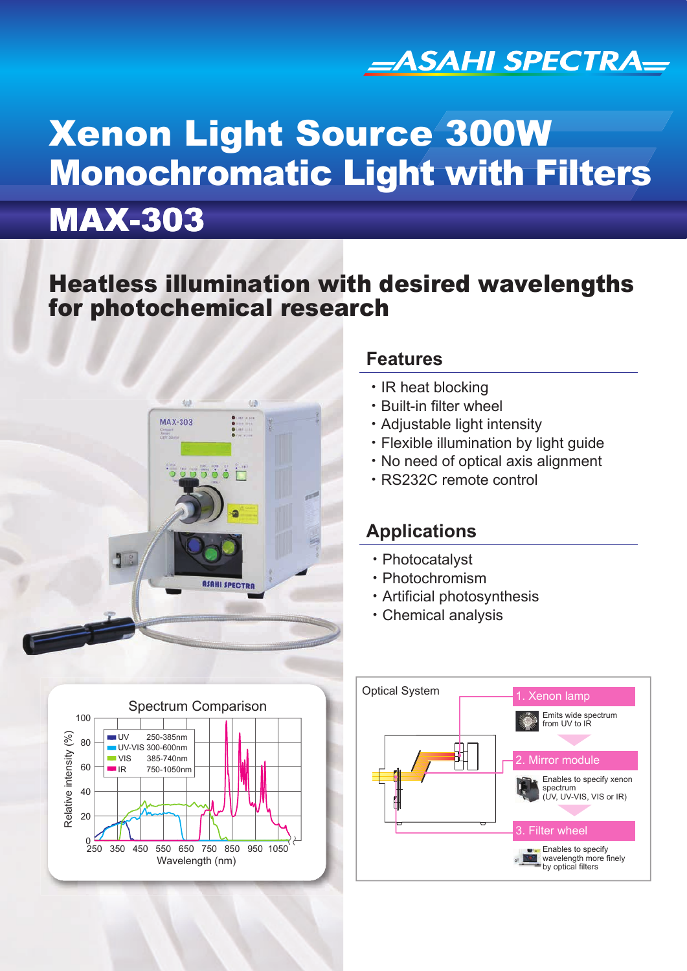

# Xenon Light Source 300W Monochromatic Light with Filters

# MAX-303

## Heatless illumination with desired wavelengths for photochemical research



#### **Features**

- ・IR heat blocking
- ・Built-in filter wheel
- ・Adjustable light intensity
- ・Flexible illumination by light guide
- ・No need of optical axis alignment
- ・RS232C remote control

## **Applications**

- ・Photocatalyst
- ・Photochromism
- ・Artificial photosynthesis
- ・Chemical analysis



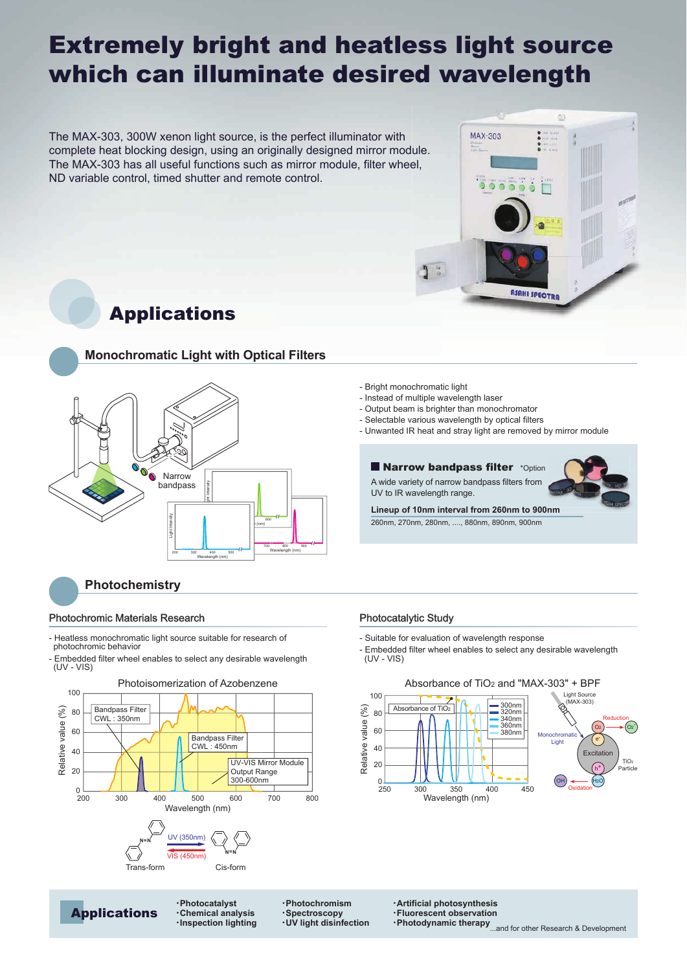# Extremely bright and heatless light source which can illuminate desired wavelength

The MAX-303, 300W xenon light source, is the perfect illuminator with complete heat blocking design, using an originally designed mirror module. The MAX-303 has all useful functions such as mirror module, filter wheel, ND variable control, timed shutter and remote control.



Applications



#### **Photochemistry**

#### Photochromic Materials Research **Photocatalytic Study** Photocatalytic Study

Applications

- Heatless monochromatic light source suitable for research of photochromic behavior
- Embedded filter wheel enables to select any desirable wavelength (UV - VIS)



・**Photocatalyst** ・**Chemical analysis** ・**Inspection lighting** ・**Photochromism** ・**Spectroscopy** ・**UV light disinfection**

- Bright monochromatic light
- Instead of multiple wavelength laser
- Output beam is brighter than monochromator
- Selectable various wavelength by optical filters
- Unwanted IR heat and stray light are removed by mirror module

#### **Narrow bandpass filter** \*Option

A wide variety of narrow bandpass filters from UV to IR wavelength range.

**Lineup of 10nm interval from 260nm to 900nm** 260nm, 270nm, 280nm, ...., 880nm, 890nm, 900nm

- Suitable for evaluation of wavelength response
- Embedded filter wheel enables to select any desirable wavelength  $(UV - VIS)$



・**Artificial photosynthesis** ・**Fluorescent observation**

•Photodynamic therapy<sub>...and</sub> for other Research & Development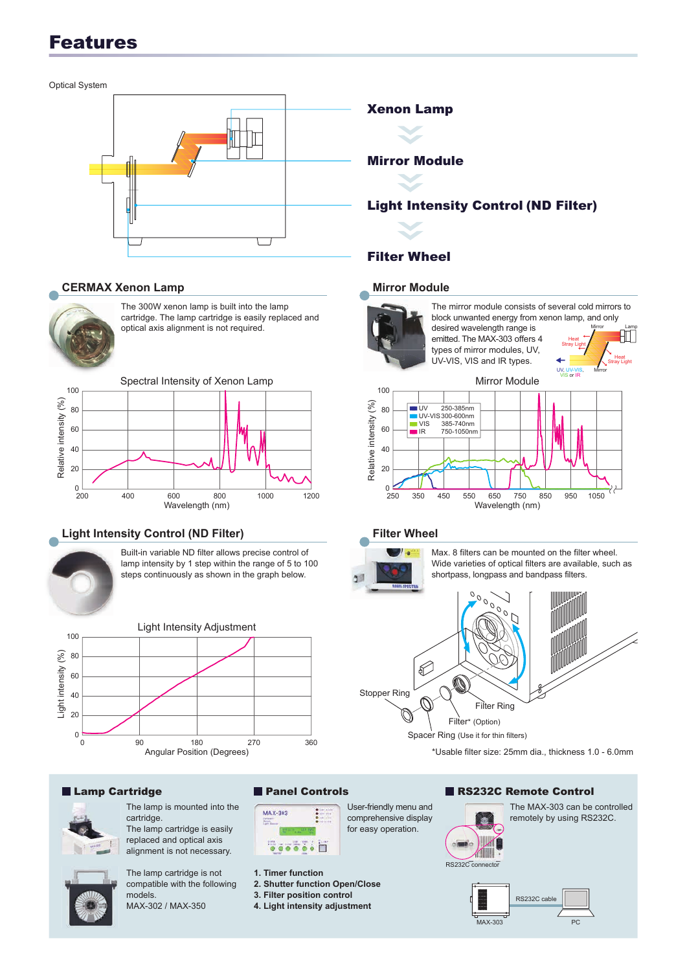## Features

Optical System

#### **CERMAX Xenon Lamp**



The 300W xenon lamp is built into the lamp cartridge. The lamp cartridge is easily replaced and optical axis alignment is not required.



#### **Light Intensity Control (ND Filter)**



Built-in variable ND filter allows precise control of lamp intensity by 1 step within the range of 5 to 100 steps continuously as shown in the graph below.





The lamp is mounted into the cartridge. The lamp cartridge is easily replaced and optical axis alignment is not necessary.

compatible with the following

MAX-302 / MAX-350

models.





MAX-303

- **2. Shutter function Open/Close**
- 
- **3. Filter position control**
- **4. Light intensity adjustment**

# Mirror Module

#### Light Intensity Control (ND Filter)

#### Filter Wheel

#### **Mirror Module**



**Heat Stray Light** UV, The mirror module consists of several cold mirrors to block unwanted energy from xenon lamp, and only desired wavelength range is emitted. The MAX-303 offers 4 types of mirror modules, UV, UV-VIS, VIS and IR types.

Mirror Lamp

**Heat Stray Light** 

Mirror



#### **Filter Wheel**



User-friendly menu and comprehensive display for easy operation.

Max. 8 filters can be mounted on the filter wheel. Wide varieties of optical filters are available, such as shortpass, longpass and bandpass filters.



Spacer Ring (Use it for thin filters)

\*Usable filter size: 25mm dia., thickness 1.0 - 6.0mm

#### ■ Lamp Cartridge 
■ Panel Controls ■ RS232C Remote Control



The MAX-303 can be controlled remotely by using RS232C.

RS232C connecto